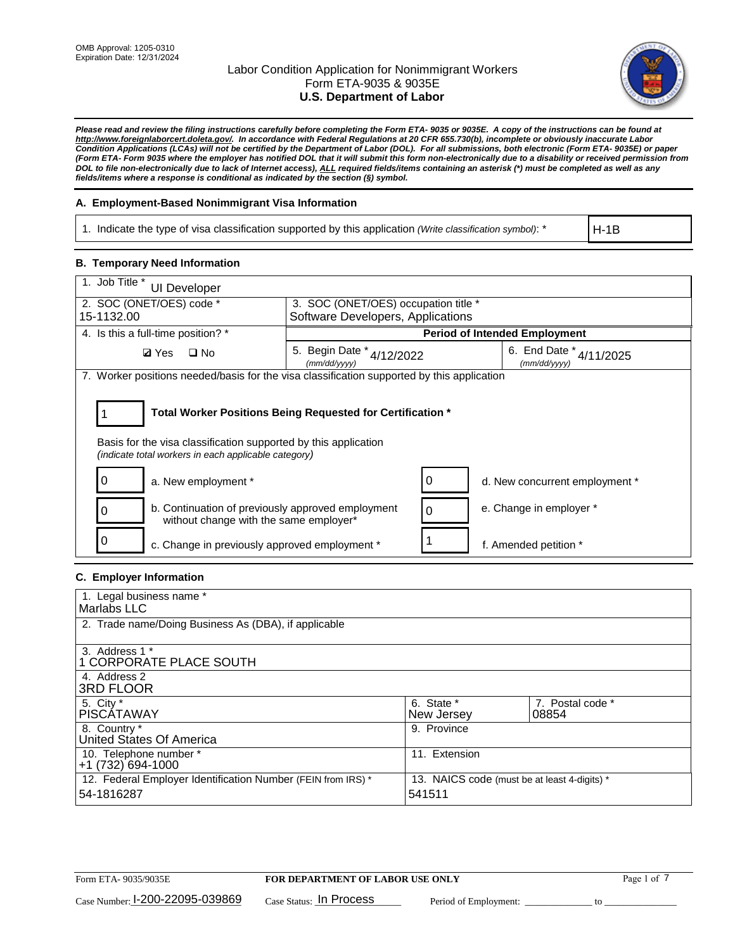

*Please read and review the filing instructions carefully before completing the Form ETA- 9035 or 9035E. A copy of the instructions can be found at http://www.foreignlaborcert.doleta.gov/. In accordance with Federal Regulations at 20 CFR 655.730(b), incomplete or obviously inaccurate Labor Condition Applications (LCAs) will not be certified by the Department of Labor (DOL). For all submissions, both electronic (Form ETA- 9035E) or paper (Form ETA- Form 9035 where the employer has notified DOL that it will submit this form non-electronically due to a disability or received permission from DOL to file non-electronically due to lack of Internet access), ALL required fields/items containing an asterisk (\*) must be completed as well as any fields/items where a response is conditional as indicated by the section (§) symbol.* 

## **A. Employment-Based Nonimmigrant Visa Information**

1. Indicate the type of visa classification supported by this application *(Write classification symbol)*: \*

H-1B

## **B. Temporary Need Information**

| 1. Job Title *<br><b>UI Developer</b>                                                                                                                                                 |                                                                                              |                                      |  |  |  |
|---------------------------------------------------------------------------------------------------------------------------------------------------------------------------------------|----------------------------------------------------------------------------------------------|--------------------------------------|--|--|--|
| 2. SOC (ONET/OES) code *                                                                                                                                                              | 3. SOC (ONET/OES) occupation title *                                                         |                                      |  |  |  |
| 15-1132.00                                                                                                                                                                            | Software Developers, Applications                                                            |                                      |  |  |  |
| 4. Is this a full-time position? *                                                                                                                                                    |                                                                                              | <b>Period of Intended Employment</b> |  |  |  |
| <b>Ø</b> Yes<br>$\square$ No                                                                                                                                                          | 6. End Date $*_{4/11/2025}$<br>5. Begin Date $*_{4/12/2022}$<br>(mm/dd/yyyy)<br>(mm/dd/yyyy) |                                      |  |  |  |
| 7. Worker positions needed/basis for the visa classification supported by this application                                                                                            |                                                                                              |                                      |  |  |  |
| Total Worker Positions Being Requested for Certification *<br>Basis for the visa classification supported by this application<br>(indicate total workers in each applicable category) |                                                                                              |                                      |  |  |  |
| a. New employment *                                                                                                                                                                   |                                                                                              | d. New concurrent employment *       |  |  |  |
| b. Continuation of previously approved employment<br>without change with the same employer*                                                                                           |                                                                                              | e. Change in employer *              |  |  |  |
| 0<br>c. Change in previously approved employment *                                                                                                                                    |                                                                                              | f. Amended petition *                |  |  |  |

## **C. Employer Information**

| 1. Legal business name *                                     |                                              |                  |
|--------------------------------------------------------------|----------------------------------------------|------------------|
| Marlabs LLC                                                  |                                              |                  |
| 2. Trade name/Doing Business As (DBA), if applicable         |                                              |                  |
|                                                              |                                              |                  |
| 3. Address 1 *                                               |                                              |                  |
| 1 CORPORATE PLACE SOUTH                                      |                                              |                  |
| 4. Address 2                                                 |                                              |                  |
| <b>3RD FLOOR</b>                                             |                                              |                  |
| 5. City *                                                    | 6. State *                                   | 7. Postal code * |
| PISCÁTAWAY                                                   | New Jersey                                   | 08854            |
| 8. Country *                                                 | 9. Province                                  |                  |
| United States Of America                                     |                                              |                  |
| 10. Telephone number *                                       | 11. Extension                                |                  |
| $+1(732)694-1000$                                            |                                              |                  |
| 12. Federal Employer Identification Number (FEIN from IRS) * | 13. NAICS code (must be at least 4-digits) * |                  |
| 54-1816287                                                   | 541511                                       |                  |
|                                                              |                                              |                  |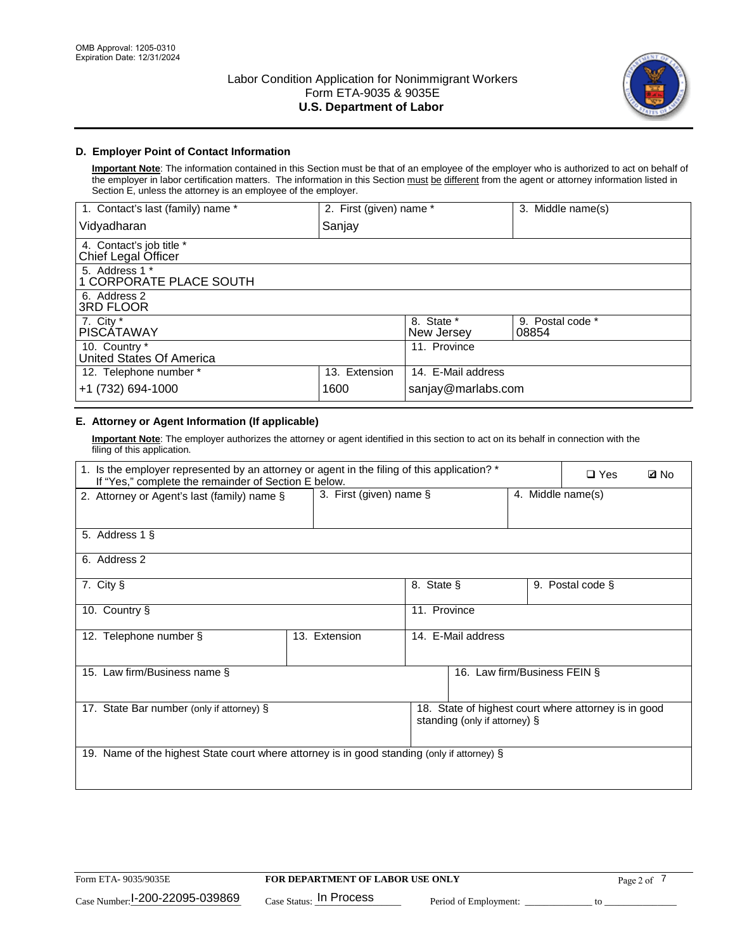

# **D. Employer Point of Contact Information**

**Important Note**: The information contained in this Section must be that of an employee of the employer who is authorized to act on behalf of the employer in labor certification matters. The information in this Section must be different from the agent or attorney information listed in Section E, unless the attorney is an employee of the employer.

| 1. Contact's last (family) name *               | 2. First (given) name * |                          | 3. Middle name(s)         |
|-------------------------------------------------|-------------------------|--------------------------|---------------------------|
| Vidyadharan                                     | Sanjay                  |                          |                           |
| 4. Contact's job title *<br>Chief Legal Officer |                         |                          |                           |
| 5. Address 1 *<br>1 CORPORATE PLACE SOUTH       |                         |                          |                           |
| 6. Address 2<br><b>3RD FLOOR</b>                |                         |                          |                           |
| 7. City *<br><b>PISCÁTAWAY</b>                  |                         | 8. State *<br>New Jersey | 9. Postal code *<br>08854 |
| 10. Country *<br>United States Of America       |                         | 11. Province             |                           |
| 12. Telephone number *                          | 13. Extension           | 14. E-Mail address       |                           |
| +1 (732) 694-1000                               | 1600                    | sanjay@marlabs.com       |                           |

# **E. Attorney or Agent Information (If applicable)**

**Important Note**: The employer authorizes the attorney or agent identified in this section to act on its behalf in connection with the filing of this application.

| 1. Is the employer represented by an attorney or agent in the filing of this application? *<br>If "Yes," complete the remainder of Section E below. |               |                                                 |                               |  | $\square$ Yes                                        | <b>Ø</b> No |
|-----------------------------------------------------------------------------------------------------------------------------------------------------|---------------|-------------------------------------------------|-------------------------------|--|------------------------------------------------------|-------------|
| 2. Attorney or Agent's last (family) name §                                                                                                         |               | 3. First (given) name $\S$<br>4. Middle name(s) |                               |  |                                                      |             |
| 5. Address 1 §                                                                                                                                      |               |                                                 |                               |  |                                                      |             |
| 6. Address 2                                                                                                                                        |               |                                                 |                               |  |                                                      |             |
| 7. City §                                                                                                                                           |               | 8. State §                                      |                               |  | 9. Postal code §                                     |             |
| 10. Country §                                                                                                                                       |               | 11. Province                                    |                               |  |                                                      |             |
| 12. Telephone number §                                                                                                                              | 13. Extension | 14. E-Mail address                              |                               |  |                                                      |             |
| 15. Law firm/Business name §                                                                                                                        |               |                                                 | 16. Law firm/Business FEIN §  |  |                                                      |             |
| 17. State Bar number (only if attorney) §                                                                                                           |               |                                                 | standing (only if attorney) § |  | 18. State of highest court where attorney is in good |             |
| 19. Name of the highest State court where attorney is in good standing (only if attorney) §                                                         |               |                                                 |                               |  |                                                      |             |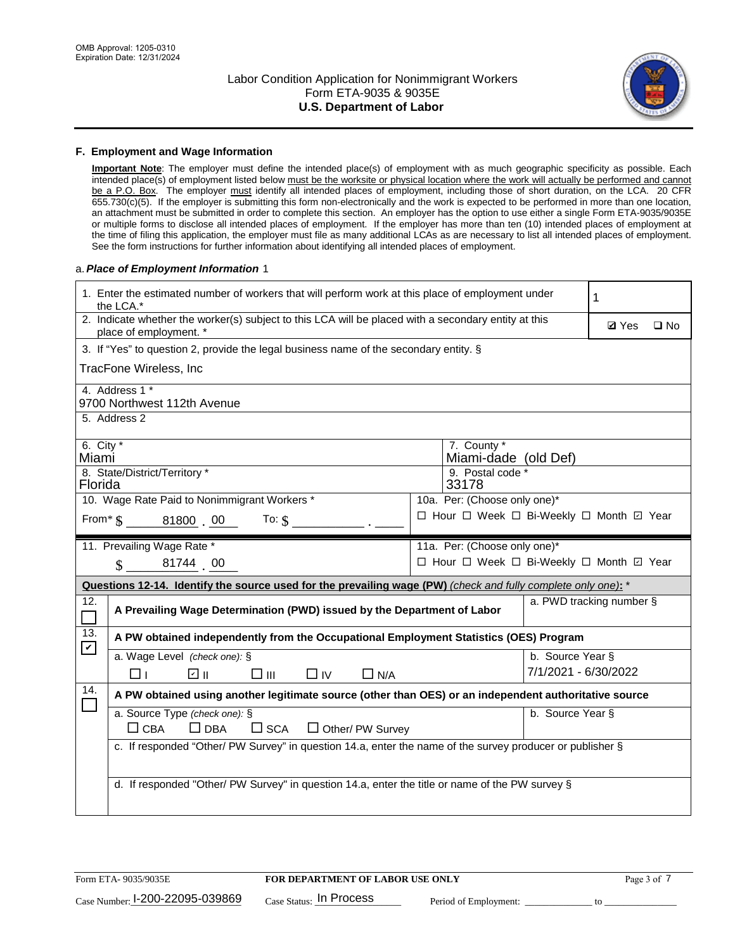

## **F. Employment and Wage Information**

**Important Note**: The employer must define the intended place(s) of employment with as much geographic specificity as possible. Each intended place(s) of employment listed below must be the worksite or physical location where the work will actually be performed and cannot be a P.O. Box. The employer must identify all intended places of employment, including those of short duration, on the LCA. 20 CFR 655.730(c)(5). If the employer is submitting this form non-electronically and the work is expected to be performed in more than one location, an attachment must be submitted in order to complete this section. An employer has the option to use either a single Form ETA-9035/9035E or multiple forms to disclose all intended places of employment. If the employer has more than ten (10) intended places of employment at the time of filing this application, the employer must file as many additional LCAs as are necessary to list all intended places of employment. See the form instructions for further information about identifying all intended places of employment.

## a.*Place of Employment Information* 1

|                                                                                       | 1. Enter the estimated number of workers that will perform work at this place of employment under<br>the LCA.*                 |  |                                          |                      |                          |  |  |
|---------------------------------------------------------------------------------------|--------------------------------------------------------------------------------------------------------------------------------|--|------------------------------------------|----------------------|--------------------------|--|--|
|                                                                                       | 2. Indicate whether the worker(s) subject to this LCA will be placed with a secondary entity at this<br>place of employment. * |  | <b>Ø</b> Yes                             | $\square$ No         |                          |  |  |
| 3. If "Yes" to question 2, provide the legal business name of the secondary entity. § |                                                                                                                                |  |                                          |                      |                          |  |  |
|                                                                                       | TracFone Wireless, Inc                                                                                                         |  |                                          |                      |                          |  |  |
|                                                                                       | 4. Address 1 *                                                                                                                 |  |                                          |                      |                          |  |  |
|                                                                                       | 9700 Northwest 112th Avenue<br>5. Address 2                                                                                    |  |                                          |                      |                          |  |  |
|                                                                                       |                                                                                                                                |  |                                          |                      |                          |  |  |
| 6. City $*$<br>Miami                                                                  |                                                                                                                                |  | 7. County *<br>Miami-dade (old Def)      |                      |                          |  |  |
| Florida                                                                               | 8. State/District/Territory *                                                                                                  |  | 9. Postal code *<br>33178                |                      |                          |  |  |
|                                                                                       | 10. Wage Rate Paid to Nonimmigrant Workers *                                                                                   |  | 10a. Per: (Choose only one)*             |                      |                          |  |  |
|                                                                                       | From $\frac{1}{5}$ 81800 00 To: $\frac{1}{5}$                                                                                  |  | □ Hour □ Week □ Bi-Weekly □ Month □ Year |                      |                          |  |  |
|                                                                                       | 11. Prevailing Wage Rate *                                                                                                     |  | 11a. Per: (Choose only one)*             |                      |                          |  |  |
|                                                                                       | 81744 00<br>$\mathcal{S}$                                                                                                      |  | □ Hour □ Week □ Bi-Weekly □ Month ☑ Year |                      |                          |  |  |
|                                                                                       | Questions 12-14. Identify the source used for the prevailing wage (PW) (check and fully complete only one): *                  |  |                                          |                      |                          |  |  |
| 12.                                                                                   | A Prevailing Wage Determination (PWD) issued by the Department of Labor                                                        |  |                                          |                      | a. PWD tracking number § |  |  |
| 13.<br>$\blacktriangledown$                                                           | A PW obtained independently from the Occupational Employment Statistics (OES) Program                                          |  |                                          |                      |                          |  |  |
|                                                                                       | a. Wage Level (check one): §                                                                                                   |  |                                          | b. Source Year §     |                          |  |  |
|                                                                                       | $\Box$ IV<br>☑ ⊪<br>$\square$ $\square$<br>$\Box$ N/A<br>⊓⊥                                                                    |  |                                          | 7/1/2021 - 6/30/2022 |                          |  |  |
| 14.                                                                                   | A PW obtained using another legitimate source (other than OES) or an independent authoritative source                          |  |                                          |                      |                          |  |  |
|                                                                                       | a. Source Type (check one): §<br>b. Source Year §<br>$\Box$ CBA<br>$\Box$ DBA<br>$\square$ SCA<br>$\Box$ Other/ PW Survey      |  |                                          |                      |                          |  |  |
|                                                                                       | c. If responded "Other/ PW Survey" in question 14.a, enter the name of the survey producer or publisher §                      |  |                                          |                      |                          |  |  |
|                                                                                       |                                                                                                                                |  |                                          |                      |                          |  |  |
|                                                                                       | d. If responded "Other/ PW Survey" in question 14.a, enter the title or name of the PW survey §                                |  |                                          |                      |                          |  |  |
|                                                                                       |                                                                                                                                |  |                                          |                      |                          |  |  |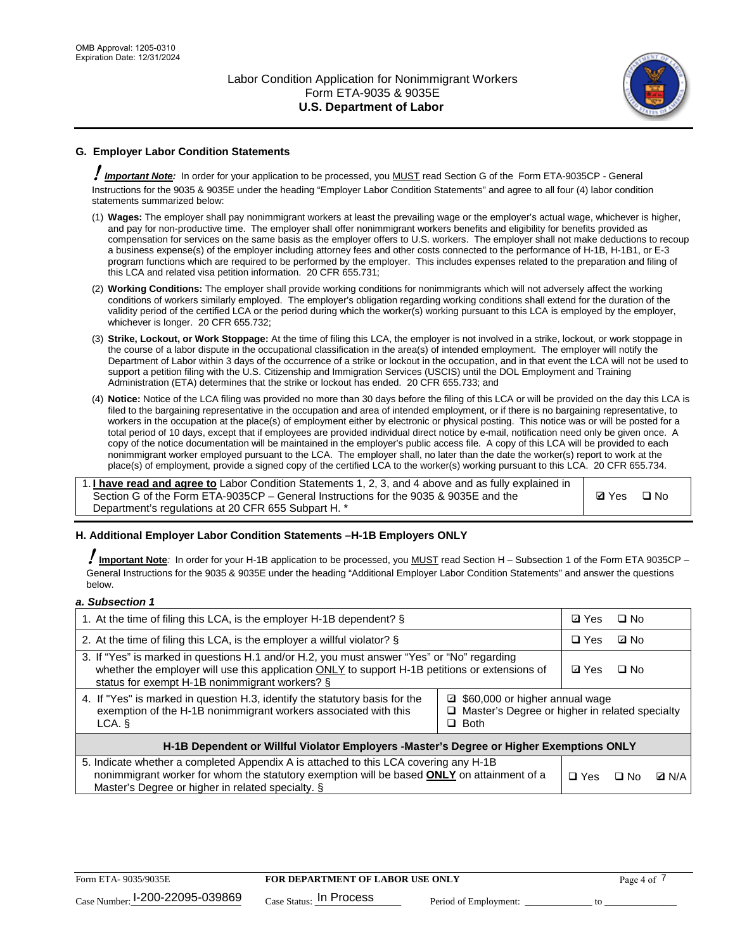

# **G. Employer Labor Condition Statements**

! *Important Note:* In order for your application to be processed, you MUST read Section G of the Form ETA-9035CP - General Instructions for the 9035 & 9035E under the heading "Employer Labor Condition Statements" and agree to all four (4) labor condition statements summarized below:

- (1) **Wages:** The employer shall pay nonimmigrant workers at least the prevailing wage or the employer's actual wage, whichever is higher, and pay for non-productive time. The employer shall offer nonimmigrant workers benefits and eligibility for benefits provided as compensation for services on the same basis as the employer offers to U.S. workers. The employer shall not make deductions to recoup a business expense(s) of the employer including attorney fees and other costs connected to the performance of H-1B, H-1B1, or E-3 program functions which are required to be performed by the employer. This includes expenses related to the preparation and filing of this LCA and related visa petition information. 20 CFR 655.731;
- (2) **Working Conditions:** The employer shall provide working conditions for nonimmigrants which will not adversely affect the working conditions of workers similarly employed. The employer's obligation regarding working conditions shall extend for the duration of the validity period of the certified LCA or the period during which the worker(s) working pursuant to this LCA is employed by the employer, whichever is longer. 20 CFR 655.732;
- (3) **Strike, Lockout, or Work Stoppage:** At the time of filing this LCA, the employer is not involved in a strike, lockout, or work stoppage in the course of a labor dispute in the occupational classification in the area(s) of intended employment. The employer will notify the Department of Labor within 3 days of the occurrence of a strike or lockout in the occupation, and in that event the LCA will not be used to support a petition filing with the U.S. Citizenship and Immigration Services (USCIS) until the DOL Employment and Training Administration (ETA) determines that the strike or lockout has ended. 20 CFR 655.733; and
- (4) **Notice:** Notice of the LCA filing was provided no more than 30 days before the filing of this LCA or will be provided on the day this LCA is filed to the bargaining representative in the occupation and area of intended employment, or if there is no bargaining representative, to workers in the occupation at the place(s) of employment either by electronic or physical posting. This notice was or will be posted for a total period of 10 days, except that if employees are provided individual direct notice by e-mail, notification need only be given once. A copy of the notice documentation will be maintained in the employer's public access file. A copy of this LCA will be provided to each nonimmigrant worker employed pursuant to the LCA. The employer shall, no later than the date the worker(s) report to work at the place(s) of employment, provide a signed copy of the certified LCA to the worker(s) working pursuant to this LCA. 20 CFR 655.734.

1. **I have read and agree to** Labor Condition Statements 1, 2, 3, and 4 above and as fully explained in Section G of the Form ETA-9035CP – General Instructions for the 9035 & 9035E and the Department's regulations at 20 CFR 655 Subpart H. \*

**Ø**Yes ロNo

## **H. Additional Employer Labor Condition Statements –H-1B Employers ONLY**

!**Important Note***:* In order for your H-1B application to be processed, you MUST read Section H – Subsection 1 of the Form ETA 9035CP – General Instructions for the 9035 & 9035E under the heading "Additional Employer Labor Condition Statements" and answer the questions below.

### *a. Subsection 1*

| 1. At the time of filing this LCA, is the employer H-1B dependent? §                                                                                                                                                                                            |  |  | $\square$ No |              |
|-----------------------------------------------------------------------------------------------------------------------------------------------------------------------------------------------------------------------------------------------------------------|--|--|--------------|--------------|
| 2. At the time of filing this LCA, is the employer a willful violator? $\S$                                                                                                                                                                                     |  |  | ⊡ No         |              |
| 3. If "Yes" is marked in questions H.1 and/or H.2, you must answer "Yes" or "No" regarding<br>whether the employer will use this application ONLY to support H-1B petitions or extensions of<br>status for exempt H-1B nonimmigrant workers? §                  |  |  | $\Box$ No    |              |
| 4. If "Yes" is marked in question H.3, identify the statutory basis for the<br>□ \$60,000 or higher annual wage<br>exemption of the H-1B nonimmigrant workers associated with this<br>□ Master's Degree or higher in related specialty<br>$\Box$ Both<br>LCA. § |  |  |              |              |
| H-1B Dependent or Willful Violator Employers -Master's Degree or Higher Exemptions ONLY                                                                                                                                                                         |  |  |              |              |
| 5. Indicate whether a completed Appendix A is attached to this LCA covering any H-1B<br>nonimmigrant worker for whom the statutory exemption will be based <b>ONLY</b> on attainment of a<br>Master's Degree or higher in related specialty. §                  |  |  | ⊟ No         | <b>Q</b> N/A |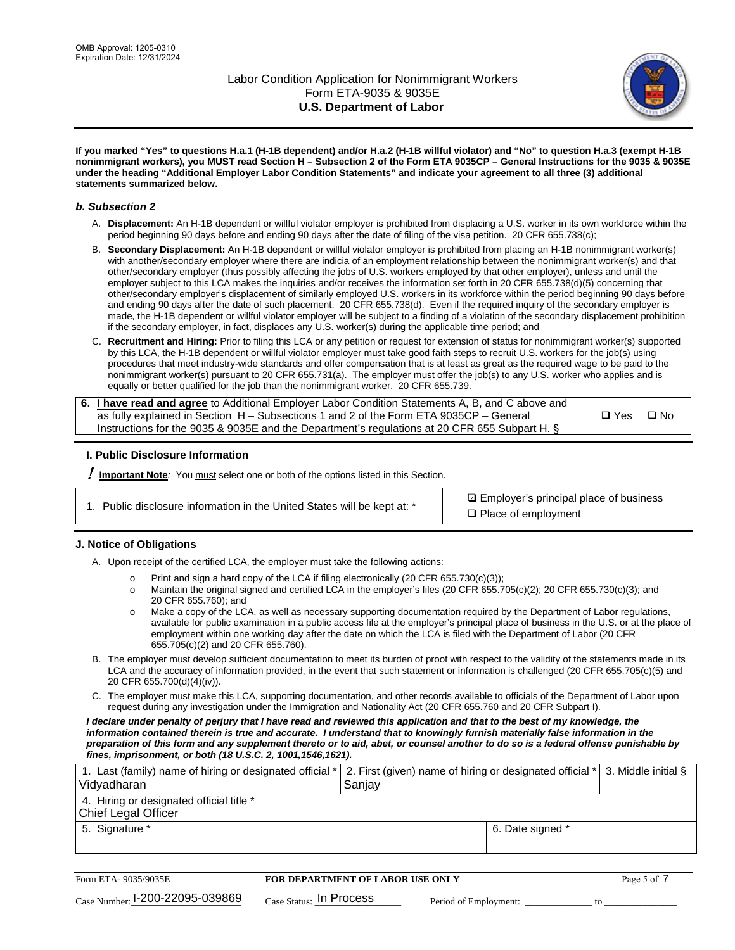

**If you marked "Yes" to questions H.a.1 (H-1B dependent) and/or H.a.2 (H-1B willful violator) and "No" to question H.a.3 (exempt H-1B nonimmigrant workers), you MUST read Section H – Subsection 2 of the Form ETA 9035CP – General Instructions for the 9035 & 9035E under the heading "Additional Employer Labor Condition Statements" and indicate your agreement to all three (3) additional statements summarized below.**

## *b. Subsection 2*

- A. **Displacement:** An H-1B dependent or willful violator employer is prohibited from displacing a U.S. worker in its own workforce within the period beginning 90 days before and ending 90 days after the date of filing of the visa petition. 20 CFR 655.738(c);
- B. **Secondary Displacement:** An H-1B dependent or willful violator employer is prohibited from placing an H-1B nonimmigrant worker(s) with another/secondary employer where there are indicia of an employment relationship between the nonimmigrant worker(s) and that other/secondary employer (thus possibly affecting the jobs of U.S. workers employed by that other employer), unless and until the employer subject to this LCA makes the inquiries and/or receives the information set forth in 20 CFR 655.738(d)(5) concerning that other/secondary employer's displacement of similarly employed U.S. workers in its workforce within the period beginning 90 days before and ending 90 days after the date of such placement. 20 CFR 655.738(d). Even if the required inquiry of the secondary employer is made, the H-1B dependent or willful violator employer will be subject to a finding of a violation of the secondary displacement prohibition if the secondary employer, in fact, displaces any U.S. worker(s) during the applicable time period; and
- C. **Recruitment and Hiring:** Prior to filing this LCA or any petition or request for extension of status for nonimmigrant worker(s) supported by this LCA, the H-1B dependent or willful violator employer must take good faith steps to recruit U.S. workers for the job(s) using procedures that meet industry-wide standards and offer compensation that is at least as great as the required wage to be paid to the nonimmigrant worker(s) pursuant to 20 CFR 655.731(a). The employer must offer the job(s) to any U.S. worker who applies and is equally or better qualified for the job than the nonimmigrant worker. 20 CFR 655.739.

| 6. I have read and agree to Additional Employer Labor Condition Statements A, B, and C above and |       |           |
|--------------------------------------------------------------------------------------------------|-------|-----------|
| as fully explained in Section H – Subsections 1 and 2 of the Form ETA 9035CP – General           | □ Yes | $\Box$ No |
| Instructions for the 9035 & 9035E and the Department's regulations at 20 CFR 655 Subpart H. §    |       |           |

## **I. Public Disclosure Information**

! **Important Note***:* You must select one or both of the options listed in this Section.

**sqrt** Employer's principal place of business □ Place of employment

## **J. Notice of Obligations**

A. Upon receipt of the certified LCA, the employer must take the following actions:

- o Print and sign a hard copy of the LCA if filing electronically (20 CFR 655.730(c)(3));<br>
Maintain the original signed and certified LCA in the employer's files (20 CFR 655.7
- Maintain the original signed and certified LCA in the employer's files (20 CFR 655.705(c)(2); 20 CFR 655.730(c)(3); and 20 CFR 655.760); and
- o Make a copy of the LCA, as well as necessary supporting documentation required by the Department of Labor regulations, available for public examination in a public access file at the employer's principal place of business in the U.S. or at the place of employment within one working day after the date on which the LCA is filed with the Department of Labor (20 CFR 655.705(c)(2) and 20 CFR 655.760).
- B. The employer must develop sufficient documentation to meet its burden of proof with respect to the validity of the statements made in its LCA and the accuracy of information provided, in the event that such statement or information is challenged (20 CFR 655.705(c)(5) and 20 CFR 655.700(d)(4)(iv)).
- C. The employer must make this LCA, supporting documentation, and other records available to officials of the Department of Labor upon request during any investigation under the Immigration and Nationality Act (20 CFR 655.760 and 20 CFR Subpart I).

*I declare under penalty of perjury that I have read and reviewed this application and that to the best of my knowledge, the*  information contained therein is true and accurate. I understand that to knowingly furnish materially false information in the *preparation of this form and any supplement thereto or to aid, abet, or counsel another to do so is a federal offense punishable by fines, imprisonment, or both (18 U.S.C. 2, 1001,1546,1621).*

| 1. Last (family) name of hiring or designated official *<br>Vidyadharan | 2. First (given) name of hiring or designated official * 3. Middle initial §<br>Sanjay |                  |  |
|-------------------------------------------------------------------------|----------------------------------------------------------------------------------------|------------------|--|
| 4. Hiring or designated official title *<br>Chief Legal Officer         |                                                                                        |                  |  |
| 5. Signature *                                                          |                                                                                        | 6. Date signed * |  |

| Form ETA-9035/9035E                         | FOR DEPARTMENT OF LABOR USE ONLY |                       |  |
|---------------------------------------------|----------------------------------|-----------------------|--|
| $_{\text{Case Number:}}$ I-200-22095-039869 | $_{Case\; Status:}$ In Process   | Period of Employment: |  |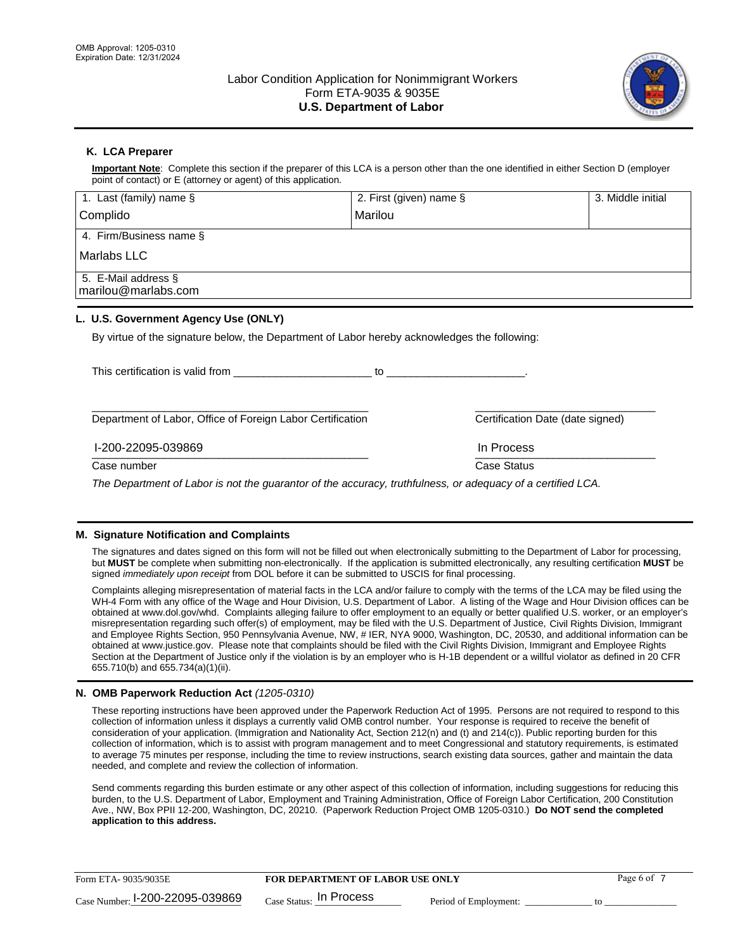

# **K. LCA Preparer**

**Important Note**: Complete this section if the preparer of this LCA is a person other than the one identified in either Section D (employer point of contact) or E (attorney or agent) of this application.

| 1. Last (family) name $\S$                                                                   | 2. First (given) name §                                                                                                                                                                                                        |                                  | 3. Middle initial |
|----------------------------------------------------------------------------------------------|--------------------------------------------------------------------------------------------------------------------------------------------------------------------------------------------------------------------------------|----------------------------------|-------------------|
| Complido                                                                                     | Marilou                                                                                                                                                                                                                        |                                  |                   |
| 4. Firm/Business name §                                                                      |                                                                                                                                                                                                                                |                                  |                   |
| Marlabs LLC                                                                                  |                                                                                                                                                                                                                                |                                  |                   |
| 5. E-Mail address §<br>marilou@marlabs.com                                                   |                                                                                                                                                                                                                                |                                  |                   |
| L. U.S. Government Agency Use (ONLY)                                                         |                                                                                                                                                                                                                                |                                  |                   |
| By virtue of the signature below, the Department of Labor hereby acknowledges the following: |                                                                                                                                                                                                                                |                                  |                   |
| This certification is valid from This certification is valid from                            | to the contract of the contract of the contract of the contract of the contract of the contract of the contract of the contract of the contract of the contract of the contract of the contract of the contract of the contrac |                                  |                   |
| Department of Labor, Office of Foreign Labor Certification                                   |                                                                                                                                                                                                                                | Certification Date (date signed) |                   |

#### $\frac{1111100688}{1111100688}$ I-200-22095-039869 In Process

Case number **Case Status** Case Status **Case Status** 

*The Department of Labor is not the guarantor of the accuracy, truthfulness, or adequacy of a certified LCA.*

## **M. Signature Notification and Complaints**

The signatures and dates signed on this form will not be filled out when electronically submitting to the Department of Labor for processing, but **MUST** be complete when submitting non-electronically. If the application is submitted electronically, any resulting certification **MUST** be signed *immediately upon receipt* from DOL before it can be submitted to USCIS for final processing.

Complaints alleging misrepresentation of material facts in the LCA and/or failure to comply with the terms of the LCA may be filed using the WH-4 Form with any office of the Wage and Hour Division, U.S. Department of Labor. A listing of the Wage and Hour Division offices can be obtained at www.dol.gov/whd. Complaints alleging failure to offer employment to an equally or better qualified U.S. worker, or an employer's misrepresentation regarding such offer(s) of employment, may be filed with the U.S. Department of Justice, Civil Rights Division, Immigrant and Employee Rights Section, 950 Pennsylvania Avenue, NW, # IER, NYA 9000, Washington, DC, 20530, and additional information can be obtained at www.justice.gov. Please note that complaints should be filed with the Civil Rights Division, Immigrant and Employee Rights Section at the Department of Justice only if the violation is by an employer who is H-1B dependent or a willful violator as defined in 20 CFR 655.710(b) and 655.734(a)(1)(ii).

## **N. OMB Paperwork Reduction Act** *(1205-0310)*

These reporting instructions have been approved under the Paperwork Reduction Act of 1995. Persons are not required to respond to this collection of information unless it displays a currently valid OMB control number. Your response is required to receive the benefit of consideration of your application. (Immigration and Nationality Act, Section 212(n) and (t) and 214(c)). Public reporting burden for this collection of information, which is to assist with program management and to meet Congressional and statutory requirements, is estimated to average 75 minutes per response, including the time to review instructions, search existing data sources, gather and maintain the data needed, and complete and review the collection of information.

Send comments regarding this burden estimate or any other aspect of this collection of information, including suggestions for reducing this burden, to the U.S. Department of Labor, Employment and Training Administration, Office of Foreign Labor Certification, 200 Constitution Ave., NW, Box PPII 12-200, Washington, DC, 20210. (Paperwork Reduction Project OMB 1205-0310.) **Do NOT send the completed application to this address.**

| Form ETA-9035/9035E             | <b>FOR DEPARTMENT OF LABOR USE ONLY</b> | Page 6 of             |  |
|---------------------------------|-----------------------------------------|-----------------------|--|
| Case Number: 1-200-22095-039869 | $_{\text{Case Status:}}$ In Process     | Period of Employment: |  |